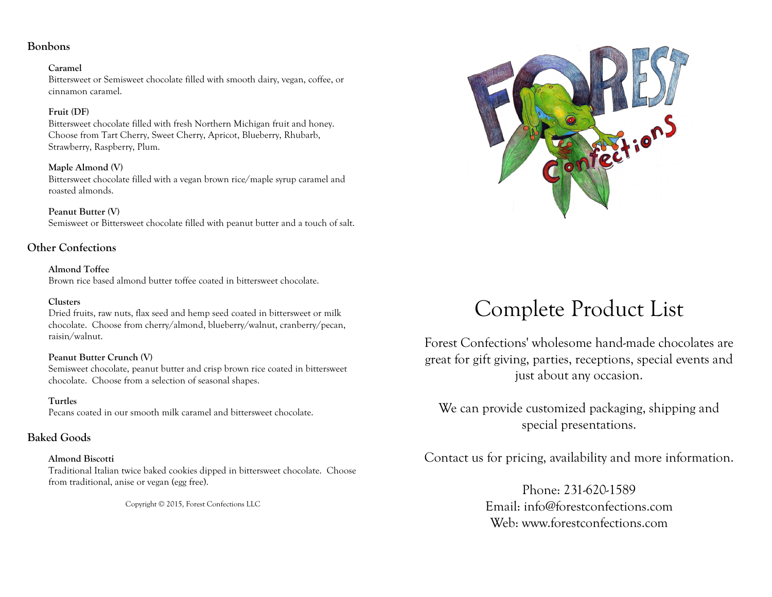# **Bonbons**

#### **Caramel**

Bittersweet or Semisweet chocolate filled with smooth dairy, vegan, coffee, or cinnamon caramel.

# **Fruit (DF)**

Bittersweet chocolate filled with fresh Northern Michigan fruit and honey. Choose from Tart Cherry, Sweet Cherry, Apricot, Blueberry, Rhubarb, Strawberry, Raspberry, Plum.

# **Maple Almond (V)**

Bittersweet chocolate filled with a vegan brown rice/maple syrup caramel and roasted almonds.

**Peanut Butter (V)** Semisweet or Bittersweet chocolate filled with peanut butter and a touch of salt.

# **Other Confections**

**Almond Toffee** Brown rice based almond butter toffee coated in bittersweet chocolate.

# **Clusters**

Dried fruits, raw nuts, flax seed and hemp seed coated in bittersweet or milk chocolate. Choose from cherry/almond, blueberry/walnut, cranberry/pecan, raisin/walnut.

# **Peanut Butter Crunch (V)**

Semisweet chocolate, peanut butter and crisp brown rice coated in bittersweet chocolate. Choose from a selection of seasonal shapes.

# **Turtles**

Pecans coated in our smooth milk caramel and bittersweet chocolate.

# **Baked Goods**

# **Almond Biscotti**

Traditional Italian twice baked cookies dipped in bittersweet chocolate. Choose from traditional, anise or vegan (egg free).

Copyright © 2015, Forest Confections LLC



# Complete Product List

Forest Confections' wholesome hand-made chocolates are great for gift giving, parties, receptions, special events and just about any occasion.

We can provide customized packaging, shipping and special presentations.

Contact us for pricing, availability and more information.

Phone: 231-620-1589 Email: info@forestconfections.com Web: www.forestconfections.com